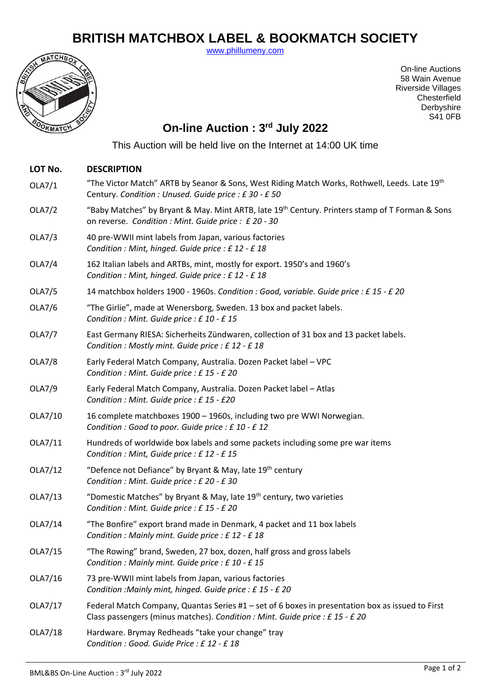## **BRITISH MATCHBOX LABEL & BOOKMATCH SOCIETY**

[www.phillumeny.com](http://www.phillumeny.com/)



On-line Auctions 58 Wain Avenue Riverside Villages **Chesterfield** Derbyshire S41 0FB

## **On-line Auction : 3 rd July 2022**

This Auction will be held live on the Internet at 14:00 UK time

| LOT No.       | <b>DESCRIPTION</b>                                                                                                                                                                |
|---------------|-----------------------------------------------------------------------------------------------------------------------------------------------------------------------------------|
| OLA7/1        | "The Victor Match" ARTB by Seanor & Sons, West Riding Match Works, Rothwell, Leeds. Late 19 <sup>th</sup><br>Century. Condition: Unused. Guide price: £30 - £50                   |
| OLA7/2        | "Baby Matches" by Bryant & May. Mint ARTB, late 19 <sup>th</sup> Century. Printers stamp of T Forman & Sons<br>on reverse. Condition : Mint. Guide price : £ 20 - 30              |
| OLA7/3        | 40 pre-WWII mint labels from Japan, various factories<br>Condition : Mint, hinged. Guide price : £ 12 - £ 18                                                                      |
| OLA7/4        | 162 Italian labels and ARTBs, mint, mostly for export. 1950's and 1960's<br>Condition : Mint, hinged. Guide price : £ 12 - £ 18                                                   |
| OLA7/5        | 14 matchbox holders 1900 - 1960s. Condition : Good, variable. Guide price : £15 - £20                                                                                             |
| OLA7/6        | "The Girlie", made at Wenersborg, Sweden. 13 box and packet labels.<br>Condition : Mint. Guide price : £ 10 - £ 15                                                                |
| OLA7/7        | East Germany RIESA: Sicherheits Zündwaren, collection of 31 box and 13 packet labels.<br>Condition : Mostly mint. Guide price : £12 - £18                                         |
| <b>OLA7/8</b> | Early Federal Match Company, Australia. Dozen Packet label - VPC<br>Condition : Mint. Guide price : £15 - £20                                                                     |
| OLA7/9        | Early Federal Match Company, Australia. Dozen Packet label - Atlas<br>Condition : Mint. Guide price : £15 - £20                                                                   |
| OLA7/10       | 16 complete matchboxes 1900 - 1960s, including two pre WWI Norwegian.<br>Condition : Good to poor. Guide price : £ 10 - £ 12                                                      |
| OLA7/11       | Hundreds of worldwide box labels and some packets including some pre war items<br>Condition : Mint, Guide price : £12 - £15                                                       |
| OLA7/12       | "Defence not Defiance" by Bryant & May, late 19th century<br>Condition : Mint. Guide price : £ 20 - £ 30                                                                          |
| OLA7/13       | "Domestic Matches" by Bryant & May, late 19 <sup>th</sup> century, two varieties<br>Condition : Mint. Guide price : £15 - £20                                                     |
| OLA7/14       | "The Bonfire" export brand made in Denmark, 4 packet and 11 box labels<br>Condition : Mainly mint. Guide price : £12 - £18                                                        |
| OLA7/15       | "The Rowing" brand, Sweden, 27 box, dozen, half gross and gross labels<br>Condition : Mainly mint. Guide price : £10 - £15                                                        |
| OLA7/16       | 73 pre-WWII mint labels from Japan, various factories<br>Condition : Mainly mint, hinged. Guide price : £15 - £20                                                                 |
| OLA7/17       | Federal Match Company, Quantas Series $#1 -$ set of 6 boxes in presentation box as issued to First<br>Class passengers (minus matches). Condition : Mint. Guide price : £15 - £20 |
| OLA7/18       | Hardware. Brymay Redheads "take your change" tray<br>Condition : Good. Guide Price : £12 - £18                                                                                    |